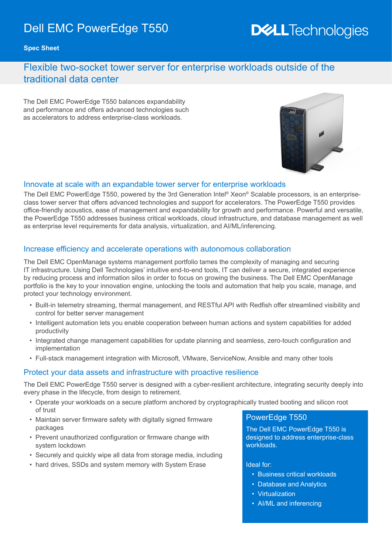# Dell EMC PowerEdge T550

# **DELL**Technologies

**Spec Sheet**

## Flexible two-socket tower server for enterprise workloads outside of the traditional data center

The Dell EMC PowerEdge T550 balances expandability and performance and offers advanced technologies such as accelerators to address enterprise-class workloads.



#### Innovate at scale with an expandable tower server for enterprise workloads

The Dell EMC PowerEdge T550, powered by the 3rd Generation Intel® Xeon® Scalable processors, is an enterpriseclass tower server that offers advanced technologies and support for accelerators. The PowerEdge T550 provides office-friendly acoustics, ease of management and expandability for growth and performance. Powerful and versatile, the PowerEdge T550 addresses business critical workloads, cloud infrastructure, and database management as well as enterprise level requirements for data analysis, virtualization, and AI/ML/inferencing.

#### Increase efficiency and accelerate operations with autonomous collaboration

The Dell EMC OpenManage systems management portfolio tames the complexity of managing and securing IT infrastructure. Using Dell Technologies' intuitive end-to-end tools, IT can deliver a secure, integrated experience by reducing process and information silos in order to focus on growing the business. The Dell EMC OpenManage portfolio is the key to your innovation engine, unlocking the tools and automation that help you scale, manage, and protect your technology environment.

- Built-in telemetry streaming, thermal management, and RESTful API with Redfish offer streamlined visibility and control for better server management
- Intelligent automation lets you enable cooperation between human actions and system capabilities for added productivity
- Integrated change management capabilities for update planning and seamless, zero-touch configuration and implementation
- Full-stack management integration with Microsoft, VMware, ServiceNow, Ansible and many other tools

#### Protect your data assets and infrastructure with proactive resilience

The Dell EMC PowerEdge T550 server is designed with a cyber-resilient architecture, integrating security deeply into every phase in the lifecycle, from design to retirement.

- Operate your workloads on a secure platform anchored by cryptographically trusted booting and silicon root of trust
- Maintain server firmware safety with digitally signed firmware packages
- Prevent unauthorized configuration or firmware change with system lockdown
- Securely and quickly wipe all data from storage media, including
- hard drives, SSDs and system memory with System Erase

#### PowerEdge T550

The Dell EMC PowerEdge T550 is designed to address enterprise-class workloads.

#### Ideal for:

- Business critical workloads
- Database and Analytics
- Virtualization
- AI/ML and inferencing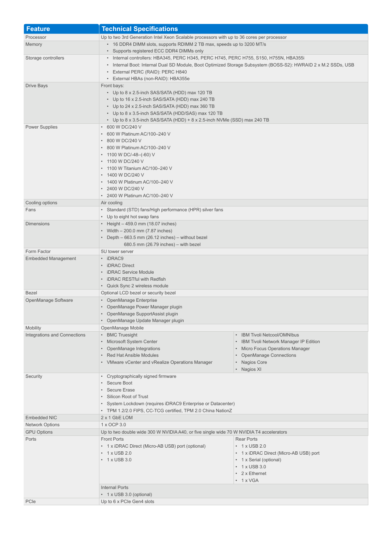| <b>Feature</b>                      | <b>Technical Specifications</b>                                                                                                                                                                         |                                                                   |  |
|-------------------------------------|---------------------------------------------------------------------------------------------------------------------------------------------------------------------------------------------------------|-------------------------------------------------------------------|--|
| Processor                           | Up to two 3rd Generation Intel Xeon Scalable processors with up to 36 cores per processor                                                                                                               |                                                                   |  |
| Memory                              | • 16 DDR4 DIMM slots, supports RDIMM 2 TB max, speeds up to 3200 MT/s<br>• Supports registered ECC DDR4 DIMMs only                                                                                      |                                                                   |  |
|                                     |                                                                                                                                                                                                         |                                                                   |  |
| Storage controllers                 | • Internal controllers: HBA345, PERC H345, PERC H745, PERC H755, S150, H755N, HBA355i<br>• Internal Boot: Internal Dual SD Module, Boot Optimized Storage Subsystem (BOSS-S2): HWRAID 2 x M.2 SSDs, USB |                                                                   |  |
|                                     |                                                                                                                                                                                                         |                                                                   |  |
|                                     | • External PERC (RAID): PERC H840                                                                                                                                                                       |                                                                   |  |
|                                     | • External HBAs (non-RAID): HBA355e                                                                                                                                                                     |                                                                   |  |
| <b>Drive Bays</b>                   | Front bays:<br>• Up to 8 x 2.5-inch SAS/SATA (HDD) max 120 TB                                                                                                                                           |                                                                   |  |
|                                     | • Up to 16 x 2.5-inch SAS/SATA (HDD) max 240 TB                                                                                                                                                         |                                                                   |  |
|                                     | • Up to 24 x 2.5-inch SAS/SATA (HDD) max 360 TB                                                                                                                                                         |                                                                   |  |
|                                     | • Up to 8 x 3.5-inch SAS/SATA (HDD/SAS) max 120 TB                                                                                                                                                      |                                                                   |  |
|                                     | • Up to 8 x 3.5-inch SAS/SATA (HDD) + 8 x 2.5-inch NVMe (SSD) max 240 TB                                                                                                                                |                                                                   |  |
| <b>Power Supplies</b>               | • 600 W DC/240 V                                                                                                                                                                                        |                                                                   |  |
|                                     | • 600 W Platinum AC/100-240 V<br>• 800 W DC/240 V                                                                                                                                                       |                                                                   |  |
|                                     | • 800 W Platinum AC/100-240 V                                                                                                                                                                           |                                                                   |  |
|                                     | • 1100 W DC/-48-(-60) V                                                                                                                                                                                 |                                                                   |  |
|                                     | • 1100 W DC/240 V                                                                                                                                                                                       |                                                                   |  |
|                                     | • 1100 W Titanium AC/100-240 V                                                                                                                                                                          |                                                                   |  |
|                                     | • 1400 W DC/240 V                                                                                                                                                                                       |                                                                   |  |
|                                     | • 1400 W Platinum AC/100-240 V<br>• 2400 W DC/240 V                                                                                                                                                     |                                                                   |  |
|                                     | • 2400 W Platinum AC/100-240 V                                                                                                                                                                          |                                                                   |  |
| Cooling options                     | Air cooling                                                                                                                                                                                             |                                                                   |  |
| Fans                                | • Standard (STD) fans/High performance (HPR) silver fans                                                                                                                                                |                                                                   |  |
|                                     | • Up to eight hot swap fans                                                                                                                                                                             |                                                                   |  |
| <b>Dimensions</b>                   | • Height - 459.0 mm (18.07 inches)                                                                                                                                                                      |                                                                   |  |
|                                     | • Width - 200.0 mm (7.87 inches)                                                                                                                                                                        |                                                                   |  |
|                                     | • Depth $-663.5$ mm (26.12 inches) $-$ without bezel<br>$680.5$ mm (26.79 inches) – with bezel                                                                                                          |                                                                   |  |
| Form Factor                         | 5U tower server                                                                                                                                                                                         |                                                                   |  |
| <b>Embedded Management</b>          | • iDRAC9                                                                                                                                                                                                |                                                                   |  |
|                                     | • iDRAC Direct                                                                                                                                                                                          |                                                                   |  |
|                                     | • iDRAC Service Module                                                                                                                                                                                  |                                                                   |  |
|                                     | • iDRAC RESTful with Redfish                                                                                                                                                                            |                                                                   |  |
|                                     | • Quick Sync 2 wireless module                                                                                                                                                                          |                                                                   |  |
| <b>Bezel</b><br>OpenManage Software | Optional LCD bezel or security bezel<br>• OpenManage Enterprise                                                                                                                                         |                                                                   |  |
|                                     | • OpenManage Power Manager plugin                                                                                                                                                                       |                                                                   |  |
|                                     | • OpenManage SupportAssist plugin                                                                                                                                                                       |                                                                   |  |
|                                     | • OpenManage Update Manager plugin                                                                                                                                                                      |                                                                   |  |
| Mobility                            | OpenManage Mobile                                                                                                                                                                                       |                                                                   |  |
| Integrations and Connections        | • BMC Truesight                                                                                                                                                                                         | • IBM Tivoli Netcool/OMNIbus                                      |  |
|                                     | • Microsoft System Center                                                                                                                                                                               | • IBM Tivoli Network Manager IP Edition                           |  |
|                                     | • OpenManage Integrations<br>• Red Hat Ansible Modules                                                                                                                                                  | • Micro Focus Operations Manager<br><b>OpenManage Connections</b> |  |
|                                     | • VMware vCenter and vRealize Operations Manager                                                                                                                                                        | Nagios Core                                                       |  |
|                                     |                                                                                                                                                                                                         | • Nagios XI                                                       |  |
| Security                            | • Cryptographically signed firmware                                                                                                                                                                     |                                                                   |  |
|                                     | • Secure Boot                                                                                                                                                                                           |                                                                   |  |
|                                     | • Secure Erase                                                                                                                                                                                          |                                                                   |  |
|                                     | • Silicon Root of Trust<br>• System Lockdown (requires iDRAC9 Enterprise or Datacenter)                                                                                                                 |                                                                   |  |
|                                     | • TPM 1.2/2.0 FIPS, CC-TCG certified, TPM 2.0 China NationZ                                                                                                                                             |                                                                   |  |
| <b>Embedded NIC</b>                 | 2 x 1 GbE LOM                                                                                                                                                                                           |                                                                   |  |
| <b>Network Options</b>              | 1 x OCP 3.0                                                                                                                                                                                             |                                                                   |  |
| <b>GPU Options</b>                  | Up to two double wide 300 W NVIDIA A40, or five single wide 70 W NVIDIA T4 accelerators                                                                                                                 |                                                                   |  |
| Ports                               | <b>Front Ports</b>                                                                                                                                                                                      | <b>Rear Ports</b>                                                 |  |
|                                     | • 1 x iDRAC Direct (Micro-AB USB) port (optional)                                                                                                                                                       | $\cdot$ 1 x USB 2.0                                               |  |
|                                     | $\cdot$ 1 x USB 2.0<br>$\cdot$ 1 x USB 3.0                                                                                                                                                              | • 1 x iDRAC Direct (Micro-AB USB) port<br>• 1 x Serial (optional) |  |
|                                     |                                                                                                                                                                                                         | $\cdot$ 1 x USB 3.0                                               |  |
|                                     |                                                                                                                                                                                                         | • 2 x Ethernet                                                    |  |
|                                     |                                                                                                                                                                                                         | $\cdot$ 1 x VGA                                                   |  |
|                                     | <b>Internal Ports</b>                                                                                                                                                                                   |                                                                   |  |
|                                     | • 1 x USB 3.0 (optional)                                                                                                                                                                                |                                                                   |  |
| PCIe                                | Up to 6 x PCIe Gen4 slots                                                                                                                                                                               |                                                                   |  |